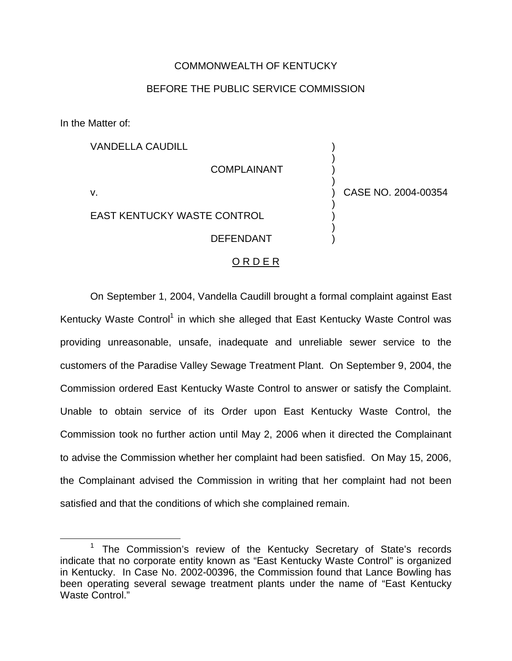## COMMONWEALTH OF KENTUCKY

## BEFORE THE PUBLIC SERVICE COMMISSION

) ) ) )

) ) ) ) ) CASE NO. 2004-00354

In the Matter of:

VANDELLA CAUDILL

COMPLAINANT

v.

EAST KENTUCKY WASTE CONTROL

## DEFENDANT

## O R D E R

On September 1, 2004, Vandella Caudill brought a formal complaint against East Kentucky Waste Control<sup>1</sup> in which she alleged that East Kentucky Waste Control was providing unreasonable, unsafe, inadequate and unreliable sewer service to the customers of the Paradise Valley Sewage Treatment Plant. On September 9, 2004, the Commission ordered East Kentucky Waste Control to answer or satisfy the Complaint. Unable to obtain service of its Order upon East Kentucky Waste Control, the Commission took no further action until May 2, 2006 when it directed the Complainant to advise the Commission whether her complaint had been satisfied. On May 15, 2006, the Complainant advised the Commission in writing that her complaint had not been satisfied and that the conditions of which she complained remain.

<sup>&</sup>lt;sup>1</sup> The Commission's review of the Kentucky Secretary of State's records indicate that no corporate entity known as "East Kentucky Waste Control" is organized in Kentucky. In Case No. 2002-00396, the Commission found that Lance Bowling has been operating several sewage treatment plants under the name of "East Kentucky Waste Control."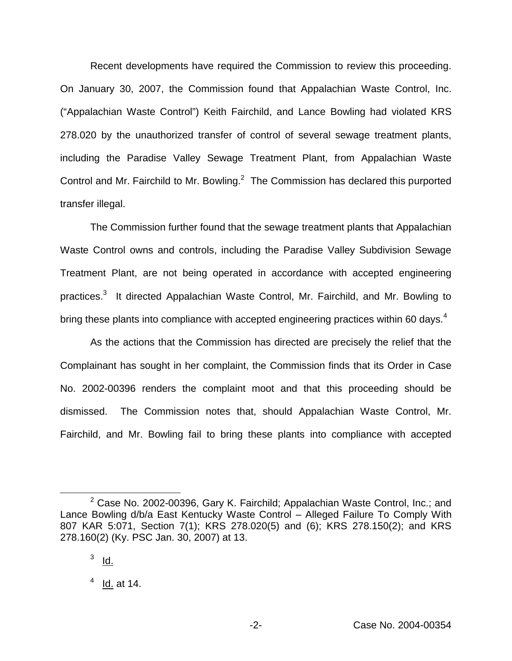Recent developments have required the Commission to review this proceeding. On January 30, 2007, the Commission found that Appalachian Waste Control, Inc. ("Appalachian Waste Control") Keith Fairchild, and Lance Bowling had violated KRS 278.020 by the unauthorized transfer of control of several sewage treatment plants, including the Paradise Valley Sewage Treatment Plant, from Appalachian Waste Control and Mr. Fairchild to Mr. Bowling.<sup>2</sup> The Commission has declared this purported transfer illegal.

The Commission further found that the sewage treatment plants that Appalachian Waste Control owns and controls, including the Paradise Valley Subdivision Sewage Treatment Plant, are not being operated in accordance with accepted engineering practices.<sup>3</sup> It directed Appalachian Waste Control, Mr. Fairchild, and Mr. Bowling to bring these plants into compliance with accepted engineering practices within 60 days.<sup>4</sup>

As the actions that the Commission has directed are precisely the relief that the Complainant has sought in her complaint, the Commission finds that its Order in Case No. 2002-00396 renders the complaint moot and that this proceeding should be dismissed. The Commission notes that, should Appalachian Waste Control, Mr. Fairchild, and Mr. Bowling fail to bring these plants into compliance with accepted

 $2^2$  Case No. 2002-00396, Gary K. Fairchild; Appalachian Waste Control, Inc.; and Lance Bowling d/b/a East Kentucky Waste Control – Alleged Failure To Comply With 807 KAR 5:071, Section 7(1); KRS 278.020(5) and (6); KRS 278.150(2); and KRS 278.160(2) (Ky. PSC Jan. 30, 2007) at 13.

 $3$  Id.

 $4$  Id. at 14.